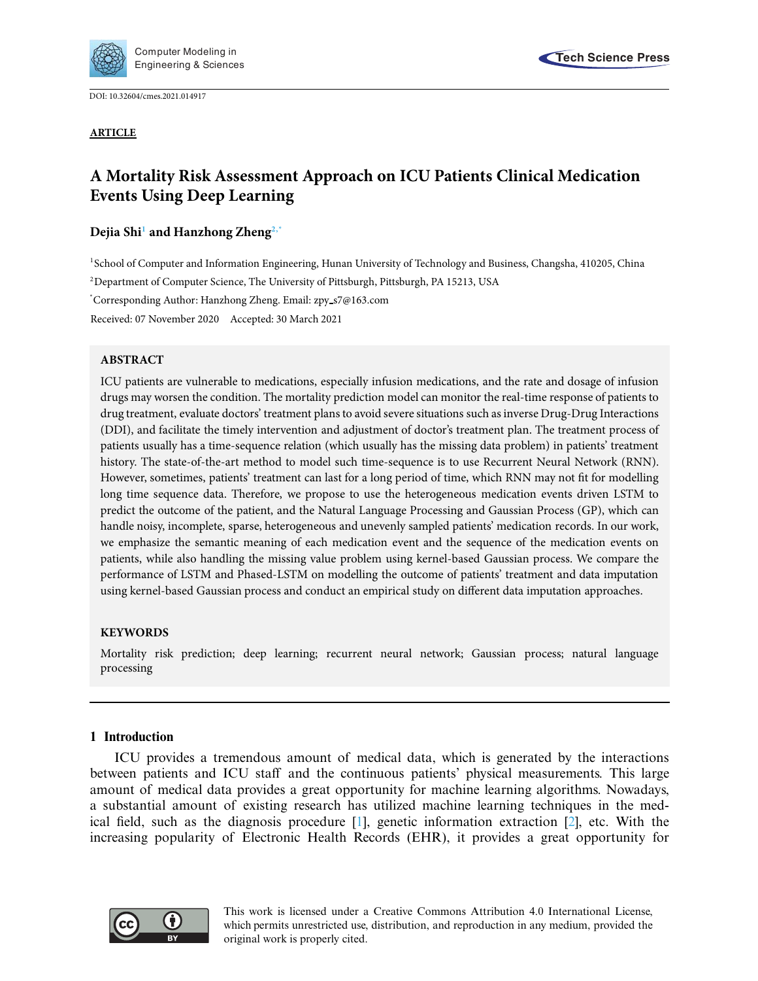

DOI: [10.32604/cmes.2021.014917](http://dx.doi.org/10.32604/cmes.2021.014917)

**ARTICLE**



# **A Mortality Risk Assessment Approach on ICU Patients Clinical Medication Events Using Deep Learning**

## **Dejia Sh[i1](#page-0-0) and Hanzhong Zhen[g2](#page-0-1)[,\\*](#page-0-2)**

<span id="page-0-0"></span>1School of Computer and Information Engineering, Hunan University of Technology and Business, Changsha, 410205, China 2 Department of Computer Science, The University of Pittsburgh, Pittsburgh, PA 15213, USA

<span id="page-0-2"></span><span id="page-0-1"></span>\* Corresponding Author: Hanzhong Zheng. Email: zpy s7@163.com

Received: 07 November 2020 Accepted: 30 March 2021

## **ABSTRACT**

ICU patients are vulnerable to medications, especially infusion medications, and the rate and dosage of infusion drugs may worsen the condition. The mortality prediction model can monitor the real-time response of patients to drug treatment, evaluate doctors' treatment plans to avoid severe situations such as inverse Drug-Drug Interactions (DDI), and facilitate the timely intervention and adjustment of doctor's treatment plan. The treatment process of patients usually has a time-sequence relation (which usually has the missing data problem) in patients' treatment history. The state-of-the-art method to model such time-sequence is to use Recurrent Neural Network (RNN). However, sometimes, patients' treatment can last for a long period of time, which RNN may not fit for modelling long time sequence data. Therefore, we propose to use the heterogeneous medication events driven LSTM to predict the outcome of the patient, and the Natural Language Processing and Gaussian Process (GP), which can handle noisy, incomplete, sparse, heterogeneous and unevenly sampled patients' medication records. In our work, we emphasize the semantic meaning of each medication event and the sequence of the medication events on patients, while also handling the missing value problem using kernel-based Gaussian process. We compare the performance of LSTM and Phased-LSTM on modelling the outcome of patients' treatment and data imputation using kernel-based Gaussian process and conduct an empirical study on different data imputation approaches.

## **KEYWORDS**

Mortality risk prediction; deep learning; recurrent neural network; Gaussian process; natural language processing

## **1 Introduction**

ICU provides a tremendous amount of medical data, which is generated by the interactions between patients and ICU staff and the continuous patients' physical measurements. This large amount of medical data provides a great opportunity for machine learning algorithms. Nowadays, a substantial amount of existing research has utilized machine learning techniques in the medical field, such as the diagnosis procedure [\[1](#page-18-0)], genetic information extraction [\[2\]](#page-18-1), etc. With the increasing popularity of Electronic Health Records (EHR), it provides a great opportunity for



This work is licensed under a Creative Commons Attribution 4.0 International License, which permits unrestricted use, distribution, and reproduction in any medium, provided the original work is properly cited.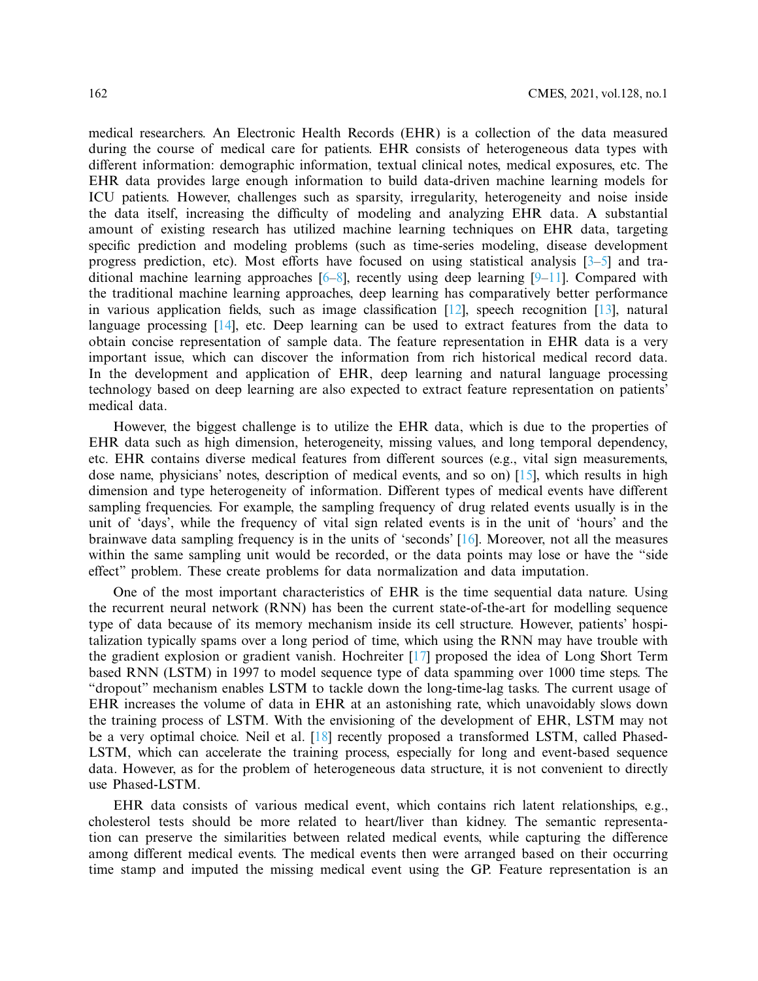medical researchers. An Electronic Health Records (EHR) is a collection of the data measured during the course of medical care for patients. EHR consists of heterogeneous data types with different information: demographic information, textual clinical notes, medical exposures, etc. The EHR data provides large enough information to build data-driven machine learning models for ICU patients. However, challenges such as sparsity, irregularity, heterogeneity and noise inside the data itself, increasing the difficulty of modeling and analyzing EHR data. A substantial amount of existing research has utilized machine learning techniques on EHR data, targeting specific prediction and modeling problems (such as time-series modeling, disease development progress prediction, etc). Most efforts have focused on using statistical analysis [\[3](#page-18-2)[–5\]](#page-18-3) and traditional machine learning approaches  $[6-8]$  $[6-8]$ , recently using deep learning  $[9-11]$  $[9-11]$ . Compared with the traditional machine learning approaches, deep learning has comparatively better performance in various application fields, such as image classification [\[12](#page-19-2)], speech recognition [\[13\]](#page-19-3), natural language processing [\[14](#page-19-4)], etc. Deep learning can be used to extract features from the data to obtain concise representation of sample data. The feature representation in EHR data is a very important issue, which can discover the information from rich historical medical record data. In the development and application of EHR, deep learning and natural language processing technology based on deep learning are also expected to extract feature representation on patients' medical data.

However, the biggest challenge is to utilize the EHR data, which is due to the properties of EHR data such as high dimension, heterogeneity, missing values, and long temporal dependency, etc. EHR contains diverse medical features from different sources (e.g., vital sign measurements, dose name, physicians' notes, description of medical events, and so on) [\[15](#page-19-5)], which results in high dimension and type heterogeneity of information. Different types of medical events have different sampling frequencies. For example, the sampling frequency of drug related events usually is in the unit of 'days', while the frequency of vital sign related events is in the unit of 'hours' and the brainwave data sampling frequency is in the units of 'seconds' [\[16\]](#page-19-6). Moreover, not all the measures within the same sampling unit would be recorded, or the data points may lose or have the "side effect" problem. These create problems for data normalization and data imputation.

One of the most important characteristics of EHR is the time sequential data nature. Using the recurrent neural network (RNN) has been the current state-of-the-art for modelling sequence type of data because of its memory mechanism inside its cell structure. However, patients' hospitalization typically spams over a long period of time, which using the RNN may have trouble with the gradient explosion or gradient vanish. Hochreiter [\[17\]](#page-19-7) proposed the idea of Long Short Term based RNN (LSTM) in 1997 to model sequence type of data spamming over 1000 time steps. The "dropout" mechanism enables LSTM to tackle down the long-time-lag tasks. The current usage of EHR increases the volume of data in EHR at an astonishing rate, which unavoidably slows down the training process of LSTM. With the envisioning of the development of EHR, LSTM may not be a very optimal choice. Neil et al. [\[18](#page-19-8)] recently proposed a transformed LSTM, called Phased-LSTM, which can accelerate the training process, especially for long and event-based sequence data. However, as for the problem of heterogeneous data structure, it is not convenient to directly use Phased-LSTM.

EHR data consists of various medical event, which contains rich latent relationships, e.g., cholesterol tests should be more related to heart/liver than kidney. The semantic representation can preserve the similarities between related medical events, while capturing the difference among different medical events. The medical events then were arranged based on their occurring time stamp and imputed the missing medical event using the GP. Feature representation is an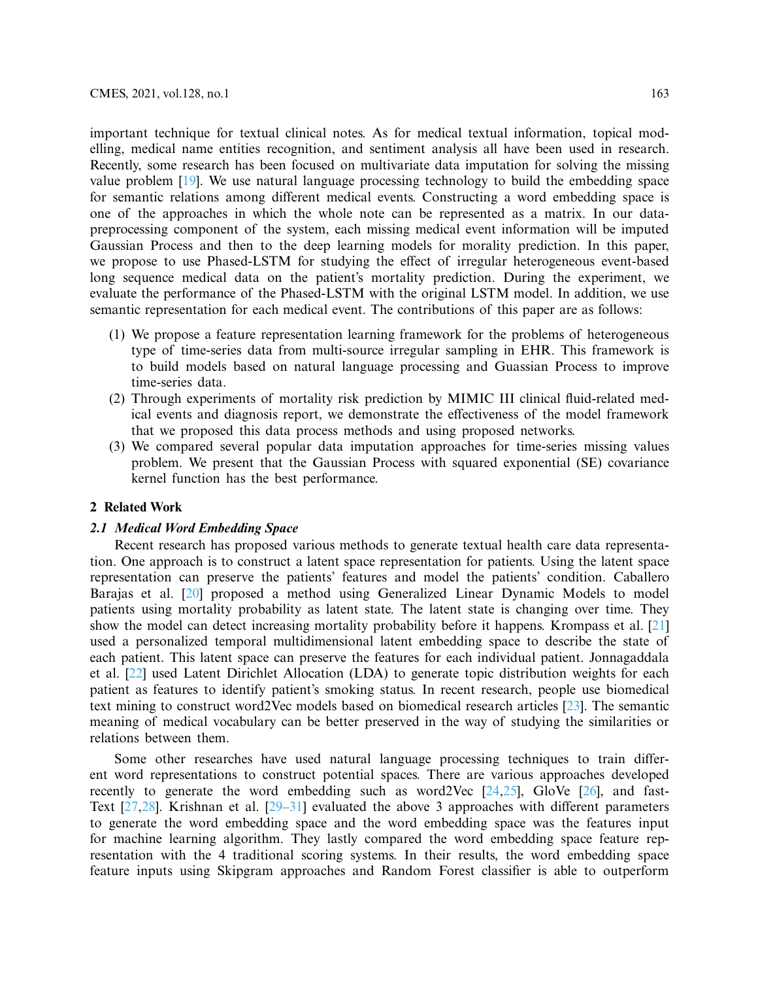important technique for textual clinical notes. As for medical textual information, topical modelling, medical name entities recognition, and sentiment analysis all have been used in research. Recently, some research has been focused on multivariate data imputation for solving the missing value problem [\[19\]](#page-19-9). We use natural language processing technology to build the embedding space for semantic relations among different medical events. Constructing a word embedding space is one of the approaches in which the whole note can be represented as a matrix. In our datapreprocessing component of the system, each missing medical event information will be imputed Gaussian Process and then to the deep learning models for morality prediction. In this paper, we propose to use Phased-LSTM for studying the effect of irregular heterogeneous event-based long sequence medical data on the patient's mortality prediction. During the experiment, we evaluate the performance of the Phased-LSTM with the original LSTM model. In addition, we use semantic representation for each medical event. The contributions of this paper are as follows:

- (1) We propose a feature representation learning framework for the problems of heterogeneous type of time-series data from multi-source irregular sampling in EHR. This framework is to build models based on natural language processing and Guassian Process to improve time-series data.
- (2) Through experiments of mortality risk prediction by MIMIC III clinical fluid-related medical events and diagnosis report, we demonstrate the effectiveness of the model framework that we proposed this data process methods and using proposed networks.
- (3) We compared several popular data imputation approaches for time-series missing values problem. We present that the Gaussian Process with squared exponential (SE) covariance kernel function has the best performance.

## **2 Related Work**

## *2.1 Medical Word Embedding Space*

Recent research has proposed various methods to generate textual health care data representation. One approach is to construct a latent space representation for patients. Using the latent space representation can preserve the patients' features and model the patients' condition. Caballero Barajas et al. [\[20\]](#page-19-10) proposed a method using Generalized Linear Dynamic Models to model patients using mortality probability as latent state. The latent state is changing over time. They show the model can detect increasing mortality probability before it happens. Krompass et al. [\[21\]](#page-19-11) used a personalized temporal multidimensional latent embedding space to describe the state of each patient. This latent space can preserve the features for each individual patient. Jonnagaddala et al. [\[22](#page-19-12)] used Latent Dirichlet Allocation (LDA) to generate topic distribution weights for each patient as features to identify patient's smoking status. In recent research, people use biomedical text mining to construct word2Vec models based on biomedical research articles [\[23\]](#page-19-13). The semantic meaning of medical vocabulary can be better preserved in the way of studying the similarities or relations between them.

Some other researches have used natural language processing techniques to train different word representations to construct potential spaces. There are various approaches developed recently to generate the word embedding such as word2Vec  $[24,25]$  $[24,25]$ , GloVe  $[26]$ , and fast-Text [\[27](#page-19-17)[,28\]](#page-19-18). Krishnan et al. [\[29](#page-20-0)[–31\]](#page-20-1) evaluated the above 3 approaches with different parameters to generate the word embedding space and the word embedding space was the features input for machine learning algorithm. They lastly compared the word embedding space feature representation with the 4 traditional scoring systems. In their results, the word embedding space feature inputs using Skipgram approaches and Random Forest classifier is able to outperform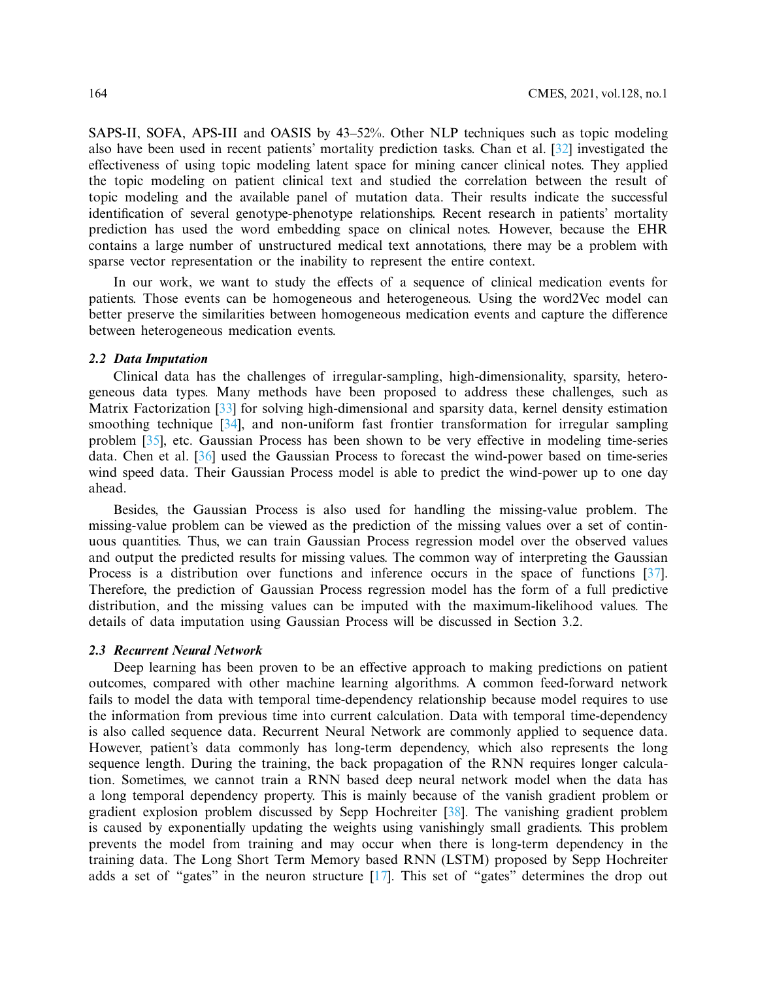SAPS-II, SOFA, APS-III and OASIS by 43–52%. Other NLP techniques such as topic modeling also have been used in recent patients' mortality prediction tasks. Chan et al. [\[32\]](#page-20-2) investigated the effectiveness of using topic modeling latent space for mining cancer clinical notes. They applied the topic modeling on patient clinical text and studied the correlation between the result of topic modeling and the available panel of mutation data. Their results indicate the successful identification of several genotype-phenotype relationships. Recent research in patients' mortality prediction has used the word embedding space on clinical notes. However, because the EHR contains a large number of unstructured medical text annotations, there may be a problem with sparse vector representation or the inability to represent the entire context.

In our work, we want to study the effects of a sequence of clinical medication events for patients. Those events can be homogeneous and heterogeneous. Using the word2Vec model can better preserve the similarities between homogeneous medication events and capture the difference between heterogeneous medication events.

#### *2.2 Data Imputation*

Clinical data has the challenges of irregular-sampling, high-dimensionality, sparsity, heterogeneous data types. Many methods have been proposed to address these challenges, such as Matrix Factorization [\[33\]](#page-20-3) for solving high-dimensional and sparsity data, kernel density estimation smoothing technique [\[34\]](#page-20-4), and non-uniform fast frontier transformation for irregular sampling problem [\[35](#page-20-5)], etc. Gaussian Process has been shown to be very effective in modeling time-series data. Chen et al. [\[36](#page-20-6)] used the Gaussian Process to forecast the wind-power based on time-series wind speed data. Their Gaussian Process model is able to predict the wind-power up to one day ahead.

Besides, the Gaussian Process is also used for handling the missing-value problem. The missing-value problem can be viewed as the prediction of the missing values over a set of continuous quantities. Thus, we can train Gaussian Process regression model over the observed values and output the predicted results for missing values. The common way of interpreting the Gaussian Process is a distribution over functions and inference occurs in the space of functions [\[37\]](#page-20-7). Therefore, the prediction of Gaussian Process regression model has the form of a full predictive distribution, and the missing values can be imputed with the maximum-likelihood values. The details of data imputation using Gaussian Process will be discussed in Section 3.2.

#### *2.3 Recurrent Neural Network*

Deep learning has been proven to be an effective approach to making predictions on patient outcomes, compared with other machine learning algorithms. A common feed-forward network fails to model the data with temporal time-dependency relationship because model requires to use the information from previous time into current calculation. Data with temporal time-dependency is also called sequence data. Recurrent Neural Network are commonly applied to sequence data. However, patient's data commonly has long-term dependency, which also represents the long sequence length. During the training, the back propagation of the RNN requires longer calculation. Sometimes, we cannot train a RNN based deep neural network model when the data has a long temporal dependency property. This is mainly because of the vanish gradient problem or gradient explosion problem discussed by Sepp Hochreiter [\[38\]](#page-20-8). The vanishing gradient problem is caused by exponentially updating the weights using vanishingly small gradients. This problem prevents the model from training and may occur when there is long-term dependency in the training data. The Long Short Term Memory based RNN (LSTM) proposed by Sepp Hochreiter adds a set of "gates" in the neuron structure [\[17\]](#page-19-7). This set of "gates" determines the drop out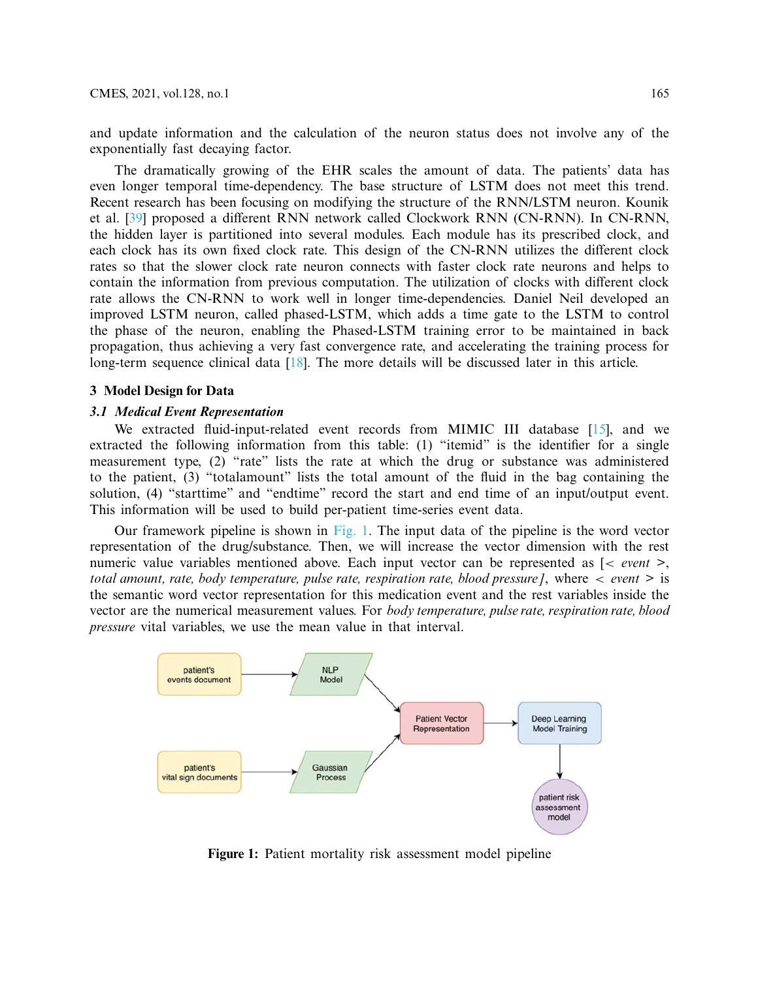and update information and the calculation of the neuron status does not involve any of the exponentially fast decaying factor.

The dramatically growing of the EHR scales the amount of data. The patients' data has even longer temporal time-dependency. The base structure of LSTM does not meet this trend. Recent research has been focusing on modifying the structure of the RNN/LSTM neuron. Kounik et al. [\[39](#page-20-9)] proposed a different RNN network called Clockwork RNN (CN-RNN). In CN-RNN, the hidden layer is partitioned into several modules. Each module has its prescribed clock, and each clock has its own fixed clock rate. This design of the CN-RNN utilizes the different clock rates so that the slower clock rate neuron connects with faster clock rate neurons and helps to contain the information from previous computation. The utilization of clocks with different clock rate allows the CN-RNN to work well in longer time-dependencies. Daniel Neil developed an improved LSTM neuron, called phased-LSTM, which adds a time gate to the LSTM to control the phase of the neuron, enabling the Phased-LSTM training error to be maintained in back propagation, thus achieving a very fast convergence rate, and accelerating the training process for long-term sequence clinical data [\[18](#page-19-8)]. The more details will be discussed later in this article.

#### **3 Model Design for Data**

#### *3.1 Medical Event Representation*

We extracted fluid-input-related event records from MIMIC III database [\[15\]](#page-19-5), and we extracted the following information from this table: (1) "itemid" is the identifier for a single measurement type, (2) "rate" lists the rate at which the drug or substance was administered to the patient, (3) "totalamount" lists the total amount of the fluid in the bag containing the solution, (4) "starttime" and "endtime" record the start and end time of an input/output event. This information will be used to build per-patient time-series event data.

Our framework pipeline is shown in [Fig. 1.](#page-4-0) The input data of the pipeline is the word vector representation of the drug/substance. Then, we will increase the vector dimension with the rest numeric value variables mentioned above. Each input vector can be represented as [< *event* >, *total amount, rate, body temperature, pulse rate, respiration rate, blood pressure]*, where < *event* > is the semantic word vector representation for this medication event and the rest variables inside the vector are the numerical measurement values. For *body temperature, pulse rate, respiration rate, blood pressure* vital variables, we use the mean value in that interval.



<span id="page-4-0"></span>**Figure 1:** Patient mortality risk assessment model pipeline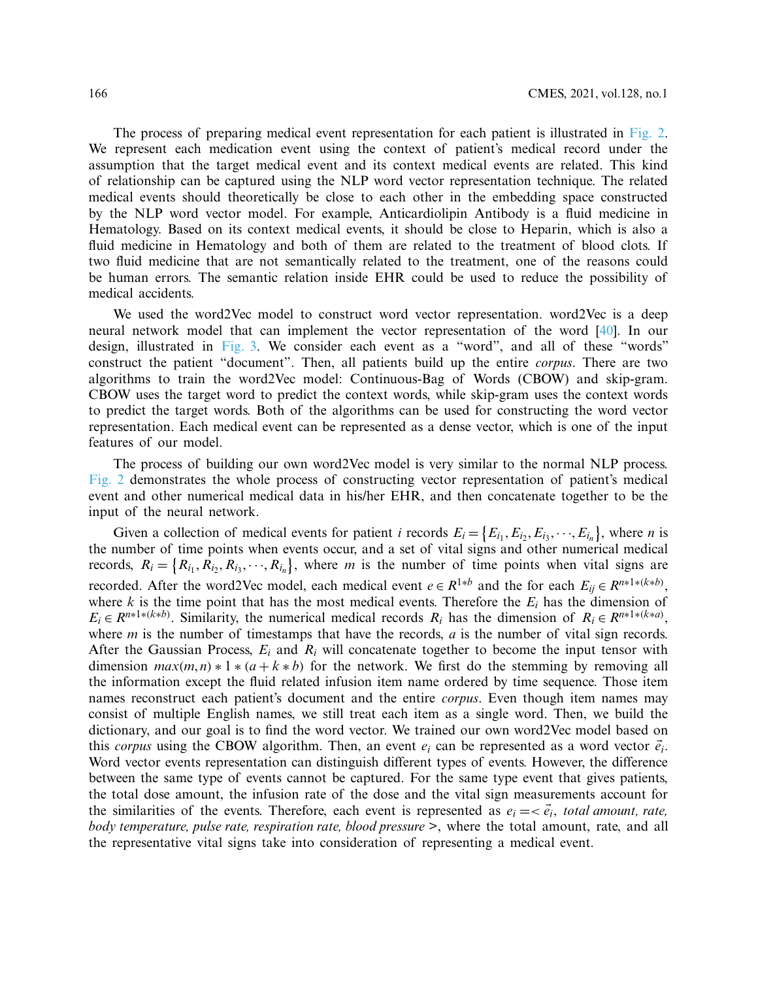The process of preparing medical event representation for each patient is illustrated in [Fig. 2.](#page-6-0) We represent each medication event using the context of patient's medical record under the assumption that the target medical event and its context medical events are related. This kind of relationship can be captured using the NLP word vector representation technique. The related medical events should theoretically be close to each other in the embedding space constructed by the NLP word vector model. For example, Anticardiolipin Antibody is a fluid medicine in Hematology. Based on its context medical events, it should be close to Heparin, which is also a fluid medicine in Hematology and both of them are related to the treatment of blood clots. If two fluid medicine that are not semantically related to the treatment, one of the reasons could be human errors. The semantic relation inside EHR could be used to reduce the possibility of medical accidents.

We used the word2Vec model to construct word vector representation. word2Vec is a deep neural network model that can implement the vector representation of the word [\[40\]](#page-20-10). In our design, illustrated in [Fig. 3.](#page-7-0) We consider each event as a "word", and all of these "words" construct the patient "document". Then, all patients build up the entire *corpus*. There are two algorithms to train the word2Vec model: Continuous-Bag of Words (CBOW) and skip-gram. CBOW uses the target word to predict the context words, while skip-gram uses the context words to predict the target words. Both of the algorithms can be used for constructing the word vector representation. Each medical event can be represented as a dense vector, which is one of the input features of our model.

The process of building our own word2Vec model is very similar to the normal NLP process. [Fig. 2](#page-6-0) demonstrates the whole process of constructing vector representation of patient's medical event and other numerical medical data in his/her EHR, and then concatenate together to be the input of the neural network.

Given a collection of medical events for patient *i* records  $E_i = \{E_{i_1}, E_{i_2}, E_{i_3}, \dots, E_{i_n}\}\,$ , where *n* is the number of time points when events occur, and a set of vital signs and other numerical medical records,  $R_i = \{R_{i_1}, R_{i_2}, R_{i_3}, \dots, R_{i_n}\}\$ , where *m* is the number of time points when vital signs are recorded. After the word2Vec model, each medical event  $e \in R^{1*b}$  and the for each  $E_{ij} \in R^{n*1*(k*b)}$ , where *k* is the time point that has the most medical events. Therefore the  $E_i$  has the dimension of  $E_i \in R^{n*1*(k*b)}$ . Similarity, the numerical medical records  $R_i$  has the dimension of  $R_i \in R^{n*1*(k*a)}$ , where *m* is the number of timestamps that have the records, *a* is the number of vital sign records. After the Gaussian Process, *Ei* and *Ri* will concatenate together to become the input tensor with dimension  $max(m, n) * 1 * (a + k * b)$  for the network. We first do the stemming by removing all the information except the fluid related infusion item name ordered by time sequence. Those item names reconstruct each patient's document and the entire *corpus*. Even though item names may consist of multiple English names, we still treat each item as a single word. Then, we build the dictionary, and our goal is to find the word vector. We trained our own word2Vec model based on this *corpus* using the CBOW algorithm. Then, an event  $e_i$  can be represented as a word vector  $\vec{e}_i$ . Word vector events representation can distinguish different types of events. However, the difference between the same type of events cannot be captured. For the same type event that gives patients, the total dose amount, the infusion rate of the dose and the vital sign measurements account for the similarities of the events. Therefore, each event is represented as  $e_i = \langle \vec{e}_i, \text{total amount}, \text{rate} \rangle$ *body temperature, pulse rate, respiration rate, blood pressure >*, where the total amount, rate, and all the representative vital signs take into consideration of representing a medical event.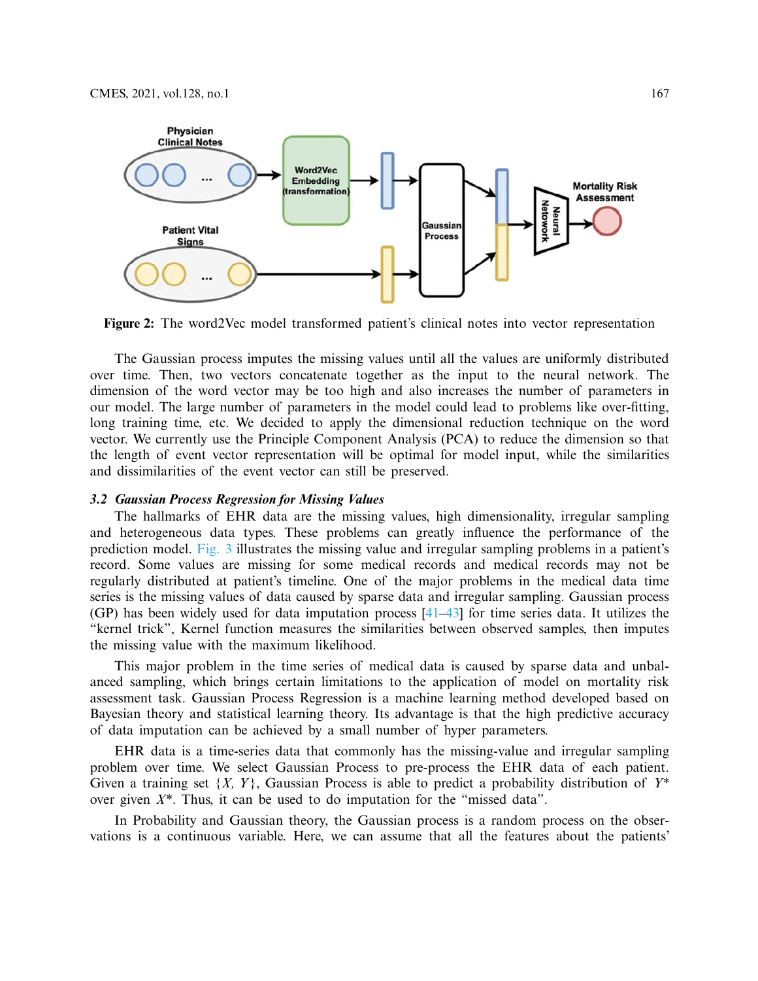

<span id="page-6-0"></span>**Figure 2:** The word2Vec model transformed patient's clinical notes into vector representation

The Gaussian process imputes the missing values until all the values are uniformly distributed over time. Then, two vectors concatenate together as the input to the neural network. The dimension of the word vector may be too high and also increases the number of parameters in our model. The large number of parameters in the model could lead to problems like over-fitting, long training time, etc. We decided to apply the dimensional reduction technique on the word vector. We currently use the Principle Component Analysis (PCA) to reduce the dimension so that the length of event vector representation will be optimal for model input, while the similarities and dissimilarities of the event vector can still be preserved.

## *3.2 Gaussian Process Regression for Missing Values*

The hallmarks of EHR data are the missing values, high dimensionality, irregular sampling and heterogeneous data types. These problems can greatly influence the performance of the prediction model. [Fig. 3](#page-7-0) illustrates the missing value and irregular sampling problems in a patient's record. Some values are missing for some medical records and medical records may not be regularly distributed at patient's timeline. One of the major problems in the medical data time series is the missing values of data caused by sparse data and irregular sampling. Gaussian process (GP) has been widely used for data imputation process  $[41-43]$  $[41-43]$  for time series data. It utilizes the "kernel trick", Kernel function measures the similarities between observed samples, then imputes the missing value with the maximum likelihood.

This major problem in the time series of medical data is caused by sparse data and unbalanced sampling, which brings certain limitations to the application of model on mortality risk assessment task. Gaussian Process Regression is a machine learning method developed based on Bayesian theory and statistical learning theory. Its advantage is that the high predictive accuracy of data imputation can be achieved by a small number of hyper parameters.

EHR data is a time-series data that commonly has the missing-value and irregular sampling problem over time. We select Gaussian Process to pre-process the EHR data of each patient. Given a training set {*X, Y*}, Gaussian Process is able to predict a probability distribution of *Y\** over given *X\**. Thus, it can be used to do imputation for the "missed data".

In Probability and Gaussian theory, the Gaussian process is a random process on the observations is a continuous variable. Here, we can assume that all the features about the patients'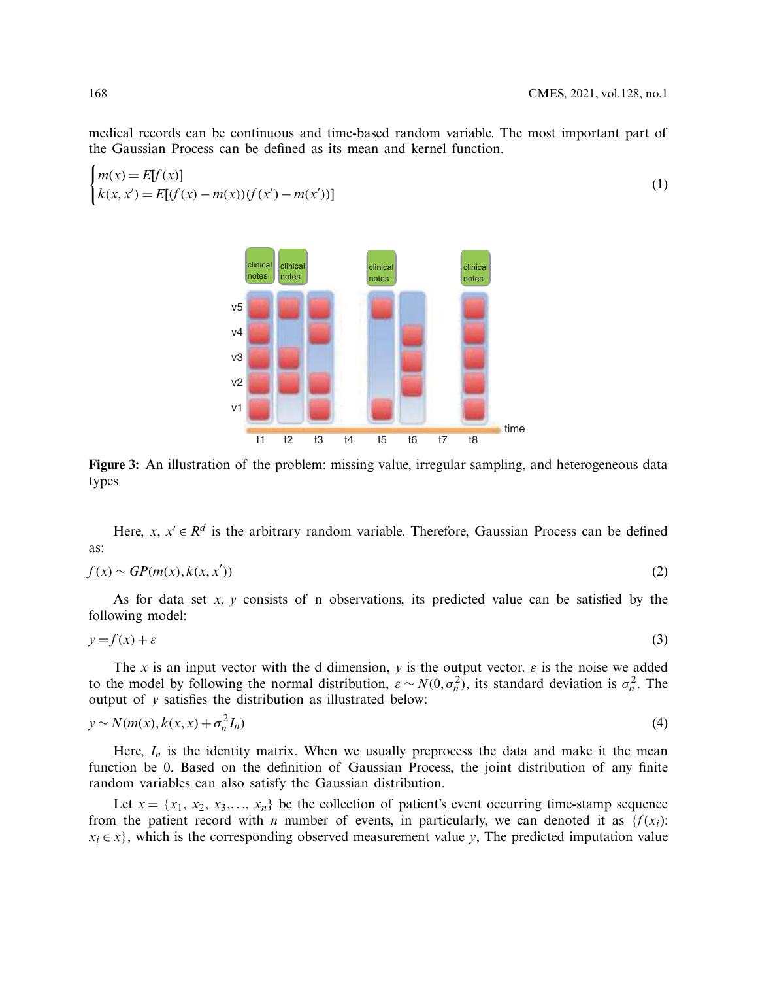medical records can be continuous and time-based random variable. The most important part of the Gaussian Process can be defined as its mean and kernel function.

$$
\begin{cases} m(x) = E[f(x)] \\ k(x, x') = E[(f(x) - m(x))(f(x') - m(x'))] \end{cases}
$$
 (1)

**Figure 3:** An illustration of the problem: missing value, irregular sampling, and heterogeneous data types



$$
f(x) \sim GP(m(x), k(x, x')) \tag{2}
$$

As for data set *x, y* consists of n observations, its predicted value can be satisfied by the following model:

$$
y = f(x) + \varepsilon \tag{3}
$$

The *x* is an input vector with the d dimension, *y* is the output vector.  $\varepsilon$  is the noise we added to the model by following the normal distribution,  $\varepsilon \sim N(0, \sigma_n^2)$ , its standard deviation is  $\sigma_n^2$ . The output of  $\nu$  satisfies the distribution as illustrated below:

$$
y \sim N(m(x), k(x, x) + \sigma_n^2 I_n)
$$
\n<sup>(4)</sup>

Here,  $I_n$  is the identity matrix. When we usually preprocess the data and make it the mean function be 0. Based on the definition of Gaussian Process, the joint distribution of any finite random variables can also satisfy the Gaussian distribution.

Let  $x = \{x_1, x_2, x_3, \ldots, x_n\}$  be the collection of patient's event occurring time-stamp sequence from the patient record with *n* number of events, in particularly, we can denoted it as  $\{f(x_i):$  $x_i \in x$ , which is the corresponding observed measurement value *y*, The predicted imputation value

<span id="page-7-1"></span><span id="page-7-0"></span>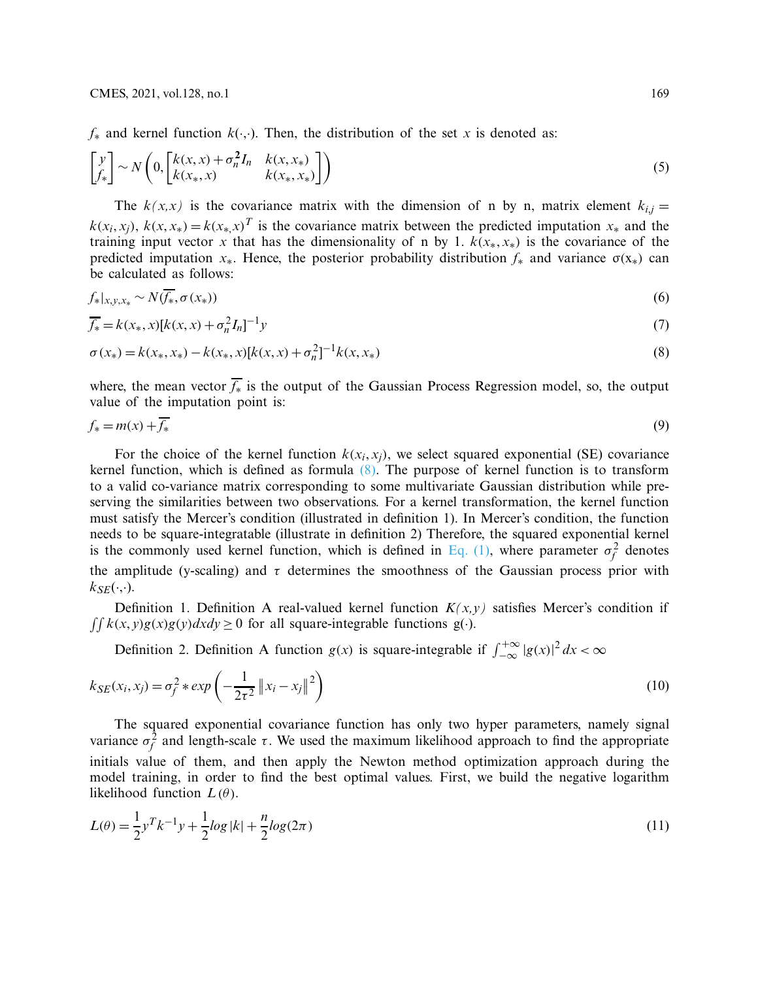$f_*$  and kernel function  $k(\cdot, \cdot)$ . Then, the distribution of the set *x* is denoted as:

$$
\begin{bmatrix} y \\ f_* \end{bmatrix} \sim N \left( 0, \begin{bmatrix} k(x, x) + \sigma_n^2 I_n & k(x, x_*) \\ k(x_*, x) & k(x_*, x_*) \end{bmatrix} \right) \tag{5}
$$

The  $k(x,x)$  is the covariance matrix with the dimension of n by n, matrix element  $k_{i,j} =$  $k(x_i, x_j)$ ,  $k(x, x_*) = k(x_*, x)^T$  is the covariance matrix between the predicted imputation  $x_*$  and the training input vector *x* that has the dimensionality of n by 1.  $k(x_*, x_*)$  is the covariance of the predicted imputation  $x_*$ . Hence, the posterior probability distribution  $f_*$  and variance  $\sigma(x_*)$  can be calculated as follows:

<span id="page-8-1"></span>
$$
f_*|_{x,y,x_*} \sim N(\overline{f_*}, \sigma(x_*))
$$
\n<sup>(6)</sup>

$$
\overline{f_*} = k(x_*, x)[k(x, x) + \sigma_n^2 I_n]^{-1} y \tag{7}
$$

<span id="page-8-0"></span>
$$
\sigma(x_*) = k(x_*, x_*) - k(x_*, x)[k(x, x) + \sigma_n^2]^{-1}k(x, x_*)
$$
\n(8)

where, the mean vector *f*<sup>∗</sup> is the output of the Gaussian Process Regression model, so, the output value of the imputation point is:

$$
f_* = m(x) + \overline{f_*} \tag{9}
$$

For the choice of the kernel function  $k(x_i, x_j)$ , we select squared exponential (SE) covariance kernel function, which is defined as formula  $(8)$ . The purpose of kernel function is to transform to a valid co-variance matrix corresponding to some multivariate Gaussian distribution while preserving the similarities between two observations. For a kernel transformation, the kernel function must satisfy the Mercer's condition (illustrated in definition 1). In Mercer's condition, the function needs to be square-integratable (illustrate in definition 2) Therefore, the squared exponential kernel is the commonly used kernel function, which is defined in [Eq. \(1\),](#page-7-1) where parameter  $\sigma_f^2$  denotes the amplitude (y-scaling) and  $\tau$  determines the smoothness of the Gaussian process prior with  $k_{SE}(\cdot,\cdot)$ .

Definition 1. Definition A real-valued kernel function  $K(x, y)$  satisfies Mercer's condition if  $\iint k(x, y)g(x)g(y)dxdy \ge 0$  for all square-integrable functions g(·).

Definition 2. Definition A function *g*(*x*) is square-integrable if  $\int_{-\infty}^{+\infty} |g(x)|^2 dx < \infty$ 

$$
k_{SE}(x_i, x_j) = \sigma_f^2 * exp\left(-\frac{1}{2\tau^2} ||x_i - x_j||^2\right)
$$
 (10)

The squared exponential covariance function has only two hyper parameters, namely signal variance  $\sigma_f^2$  and length-scale  $\tau$ . We used the maximum likelihood approach to find the appropriate initials value of them, and then apply the Newton method optimization approach during the model training, in order to find the best optimal values. First, we build the negative logarithm likelihood function  $L(\theta)$ .

$$
L(\theta) = \frac{1}{2}y^T k^{-1} y + \frac{1}{2} \log |k| + \frac{n}{2} \log(2\pi)
$$
\n(11)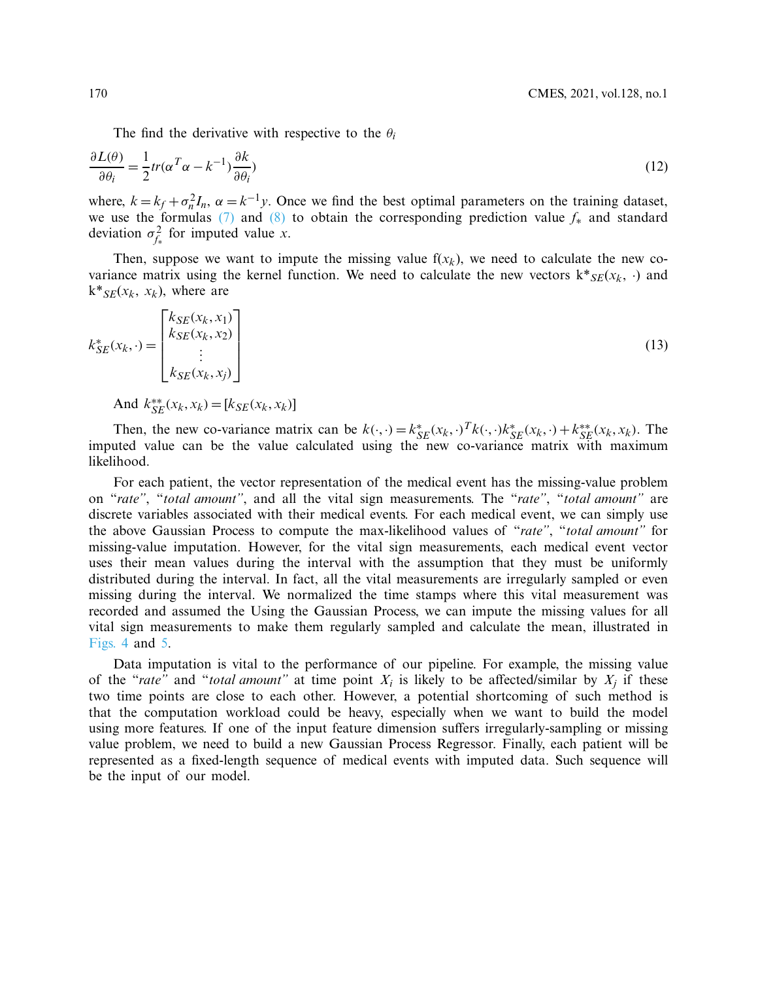The find the derivative with respective to the  $\theta_i$ 

$$
\frac{\partial L(\theta)}{\partial \theta_i} = \frac{1}{2} tr(\alpha^T \alpha - k^{-1}) \frac{\partial k}{\partial \theta_i} \tag{12}
$$

where,  $k = k_f + \sigma_n^2 I_n$ ,  $\alpha = k^{-1} y$ . Once we find the best optimal parameters on the training dataset, we use the formulas [\(7\)](#page-8-1) and [\(8\)](#page-8-0) to obtain the corresponding prediction value *f*<sup>∗</sup> and standard deviation  $\sigma_{f_*}^2$  for imputed value *x*.

Then, suppose we want to impute the missing value  $f(x_k)$ , we need to calculate the new covariance matrix using the kernel function. We need to calculate the new vectors  $k*_{SE}(x_k, \cdot)$  and  $k^*$ <sub>*SE*</sub>( $x_k$ ,  $x_k$ ), where are

$$
k_{SE}^*(x_k, \cdot) = \begin{bmatrix} k_{SE}(x_k, x_1) \\ k_{SE}(x_k, x_2) \\ \vdots \\ k_{SE}(x_k, x_j) \end{bmatrix}
$$
 (13)

And  $k_{SE}^{**}(x_k, x_k) = [k_{SE}(x_k, x_k)]$ 

Then, the new co-variance matrix can be  $k(\cdot, \cdot) = k_{SE}^*(x_k, \cdot) \cdot k_{SE}^*(x_k, \cdot) + k_{SE}^{**}(x_k, x_k)$ . The imputed value can be the value calculated using the new co-variance matrix with maximum likelihood.

For each patient, the vector representation of the medical event has the missing-value problem on "*rate"*, "*total amount"*, and all the vital sign measurements. The "*rate"*, "*total amount"* are discrete variables associated with their medical events. For each medical event, we can simply use the above Gaussian Process to compute the max-likelihood values of "*rate"*, "*total amount"* for missing-value imputation. However, for the vital sign measurements, each medical event vector uses their mean values during the interval with the assumption that they must be uniformly distributed during the interval. In fact, all the vital measurements are irregularly sampled or even missing during the interval. We normalized the time stamps where this vital measurement was recorded and assumed the Using the Gaussian Process, we can impute the missing values for all vital sign measurements to make them regularly sampled and calculate the mean, illustrated in [Figs. 4](#page-10-0) and [5.](#page-10-1)

Data imputation is vital to the performance of our pipeline. For example, the missing value of the "*rate"* and "*total amount"* at time point  $X_i$  is likely to be affected/similar by  $X_i$  if these two time points are close to each other. However, a potential shortcoming of such method is that the computation workload could be heavy, especially when we want to build the model using more features. If one of the input feature dimension suffers irregularly-sampling or missing value problem, we need to build a new Gaussian Process Regressor. Finally, each patient will be represented as a fixed-length sequence of medical events with imputed data. Such sequence will be the input of our model.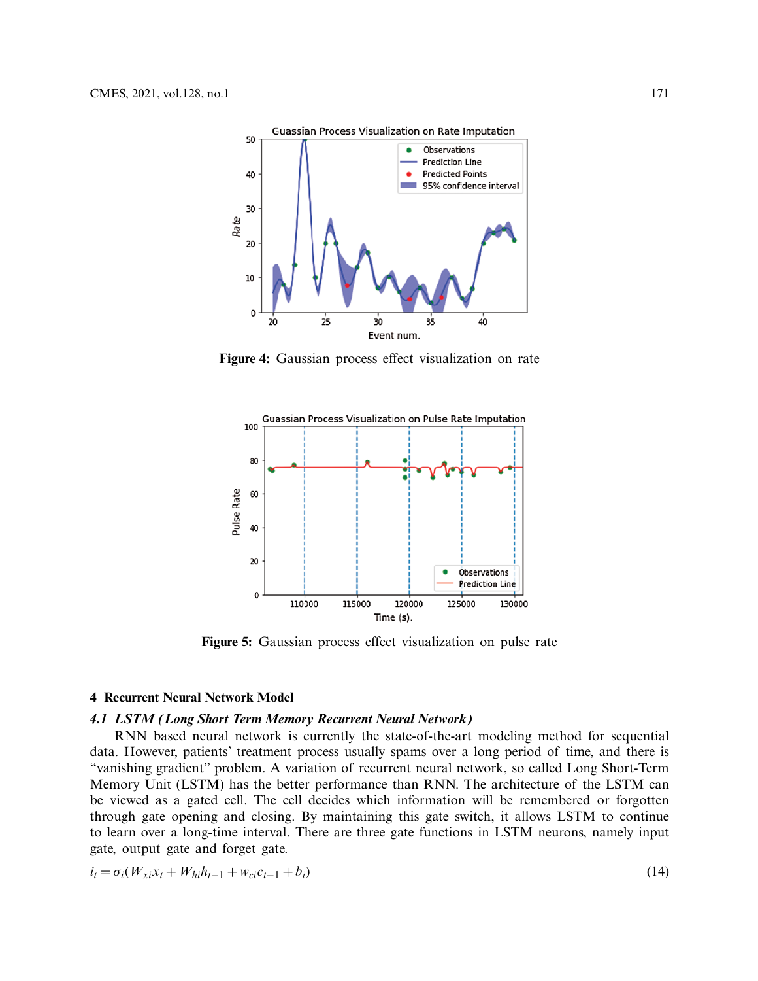

<span id="page-10-0"></span>**Figure 4:** Gaussian process effect visualization on rate



<span id="page-10-1"></span>**Figure 5:** Gaussian process effect visualization on pulse rate

#### **4 Recurrent Neural Network Model**

## *4.1 LSTM (Long Short Term Memory Recurrent Neural Network)*

RNN based neural network is currently the state-of-the-art modeling method for sequential data. However, patients' treatment process usually spams over a long period of time, and there is "vanishing gradient" problem. A variation of recurrent neural network, so called Long Short-Term Memory Unit (LSTM) has the better performance than RNN. The architecture of the LSTM can be viewed as a gated cell. The cell decides which information will be remembered or forgotten through gate opening and closing. By maintaining this gate switch, it allows LSTM to continue to learn over a long-time interval. There are three gate functions in LSTM neurons, namely input gate, output gate and forget gate.

$$
i_t = \sigma_i (W_{xi} x_t + W_{hi} h_{t-1} + w_{ci} c_{t-1} + b_i)
$$
\n(14)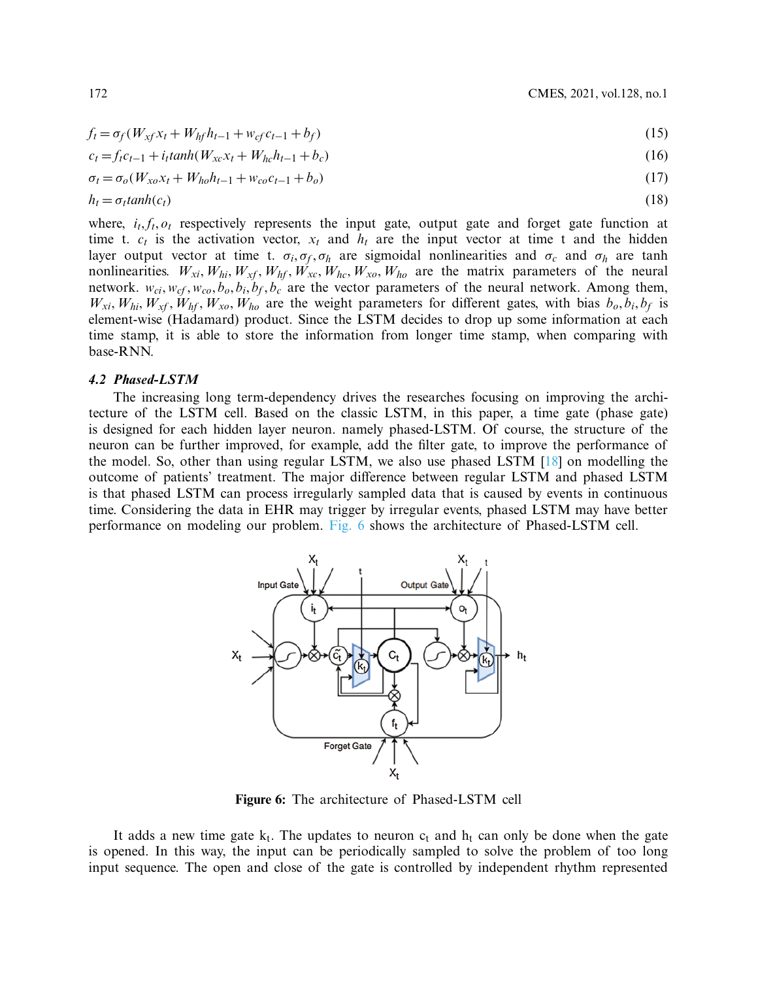$$
f_t = \sigma_f(W_{xf}x_t + W_{hf}h_{t-1} + w_{cf}c_{t-1} + b_f)
$$
\n(15)

$$
c_t = f_t c_{t-1} + i_t \tanh(W_{xc} x_t + W_{hc} h_{t-1} + b_c)
$$
\n(16)

$$
\sigma_t = \sigma_o(W_{xo}x_t + W_{ho}h_{t-1} + w_{co}c_{t-1} + b_o)
$$
\n(17)

$$
h_t = \sigma_t \tanh(c_t) \tag{18}
$$

where,  $i_t$ ,  $f_t$ ,  $o_t$  respectively represents the input gate, output gate and forget gate function at time t.  $c_t$  is the activation vector,  $x_t$  and  $h_t$  are the input vector at time t and the hidden layer output vector at time t.  $\sigma_i$ ,  $\sigma_f$ ,  $\sigma_h$  are sigmoidal nonlinearities and  $\sigma_c$  and  $\sigma_h$  are tanh nonlinearities.  $W_{xi}, W_{hi}, W_{xf}, W_{hf}, W_{xc}, W_{hc}, W_{xo}, W_{ho}$  are the matrix parameters of the neural network.  $w_{ci}$ ,  $w_{cf}$ ,  $w_{co}$ ,  $b_o$ ,  $b_i$ ,  $b_f$ ,  $b_c$  are the vector parameters of the neural network. Among them,  $W_{xi}$ ,  $W_{hi}$ ,  $W_{xf}$ ,  $W_{hf}$ ,  $W_{xo}$ ,  $W_{ho}$  are the weight parameters for different gates, with bias  $b_o$ ,  $b_i$ ,  $b_f$  is element-wise (Hadamard) product. Since the LSTM decides to drop up some information at each time stamp, it is able to store the information from longer time stamp, when comparing with base-RNN.

#### *4.2 Phased-LSTM*

The increasing long term-dependency drives the researches focusing on improving the architecture of the LSTM cell. Based on the classic LSTM, in this paper, a time gate (phase gate) is designed for each hidden layer neuron. namely phased-LSTM. Of course, the structure of the neuron can be further improved, for example, add the filter gate, to improve the performance of the model. So, other than using regular LSTM, we also use phased LSTM [\[18](#page-19-8)] on modelling the outcome of patients' treatment. The major difference between regular LSTM and phased LSTM is that phased LSTM can process irregularly sampled data that is caused by events in continuous time. Considering the data in EHR may trigger by irregular events, phased LSTM may have better performance on modeling our problem. [Fig. 6](#page-11-0) shows the architecture of Phased-LSTM cell.



<span id="page-11-0"></span>**Figure 6:** The architecture of Phased-LSTM cell

It adds a new time gate  $k_t$ . The updates to neuron  $c_t$  and  $h_t$  can only be done when the gate is opened. In this way, the input can be periodically sampled to solve the problem of too long input sequence. The open and close of the gate is controlled by independent rhythm represented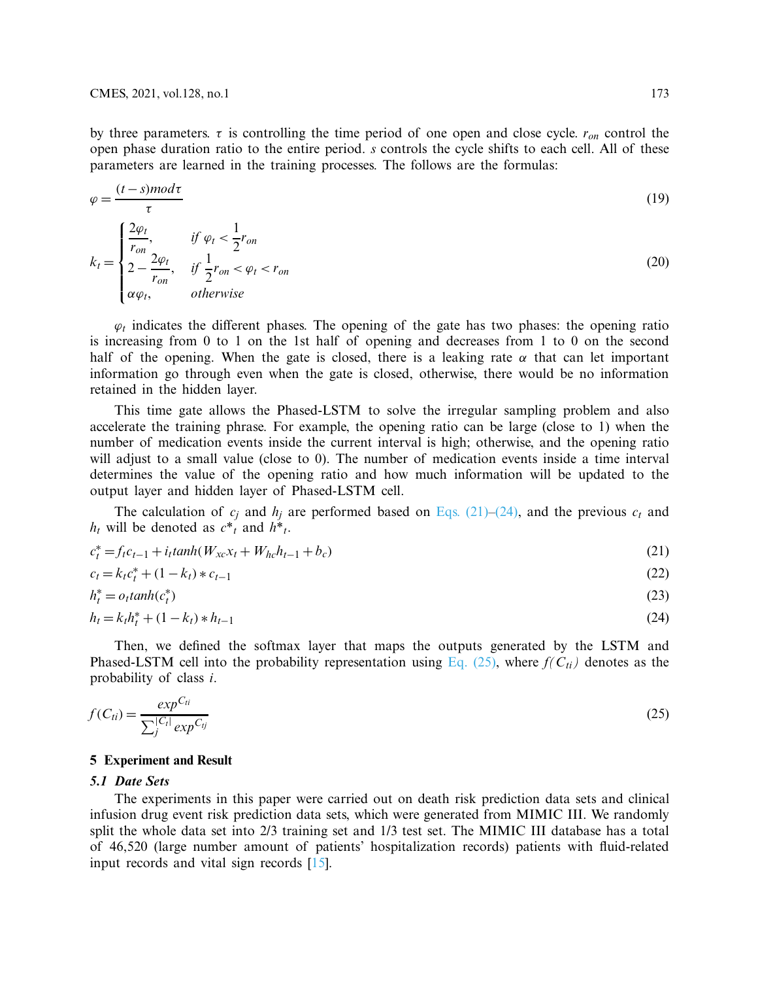by three parameters.  $\tau$  is controlling the time period of one open and close cycle.  $r_{on}$  control the open phase duration ratio to the entire period. *s* controls the cycle shifts to each cell. All of these parameters are learned in the training processes. The follows are the formulas:

$$
\varphi = \frac{(t-s)mod\tau}{\tau}
$$
\n
$$
k_t = \begin{cases}\n\frac{2\varphi_t}{r_{on}}, & \text{if } \varphi_t < \frac{1}{2}r_{on} \\
2 - \frac{2\varphi_t}{r_{on}}, & \text{if } \frac{1}{2}r_{on} < \varphi_t < r_{on} \\
\alpha\varphi_t, & \text{otherwise}\n\end{cases}
$$
\n(20)

 $\varphi_t$  indicates the different phases. The opening of the gate has two phases: the opening ratio is increasing from 0 to 1 on the 1st half of opening and decreases from 1 to 0 on the second half of the opening. When the gate is closed, there is a leaking rate  $\alpha$  that can let important information go through even when the gate is closed, otherwise, there would be no information retained in the hidden layer.

This time gate allows the Phased-LSTM to solve the irregular sampling problem and also accelerate the training phrase. For example, the opening ratio can be large (close to 1) when the number of medication events inside the current interval is high; otherwise, and the opening ratio will adjust to a small value (close to 0). The number of medication events inside a time interval determines the value of the opening ratio and how much information will be updated to the output layer and hidden layer of Phased-LSTM cell.

The calculation of  $c_j$  and  $h_j$  are performed based on [Eqs. \(21\)–](#page-12-0)[\(24\),](#page-12-1) and the previous  $c_t$  and *h<sub>t</sub>* will be denoted as  $c^*$ <sub>*t*</sub> and  $h^*$ <sub>*t*</sub>.

<span id="page-12-0"></span>
$$
c_t^* = f_t c_{t-1} + i_t \tanh(W_{xc} x_t + W_{hc} h_{t-1} + b_c)
$$
\n(21)

$$
c_t = k_t c_t^* + (1 - k_t) * c_{t-1}
$$
\n(22)

$$
h_t^* = o_t \tanh(c_t^*)
$$
\n<sup>(23)</sup>

<span id="page-12-1"></span>
$$
h_t = k_t h_t^* + (1 - k_t) * h_{t-1}
$$
\n(24)

Then, we defined the softmax layer that maps the outputs generated by the LSTM and Phased-LSTM cell into the probability representation using [Eq. \(25\),](#page-12-2) where  $f(C_{ti})$  denotes as the probability of class *i*.

<span id="page-12-2"></span>
$$
f(C_{ti}) = \frac{exp^{C_{ti}}}{\sum_{j}^{|C_t|} exp^{C_{tj}}}
$$
\n(25)

#### **5 Experiment and Result**

#### *5.1 Date Sets*

The experiments in this paper were carried out on death risk prediction data sets and clinical infusion drug event risk prediction data sets, which were generated from MIMIC III. We randomly split the whole data set into 2/3 training set and 1/3 test set. The MIMIC III database has a total of 46,520 (large number amount of patients' hospitalization records) patients with fluid-related input records and vital sign records [\[15\]](#page-19-5).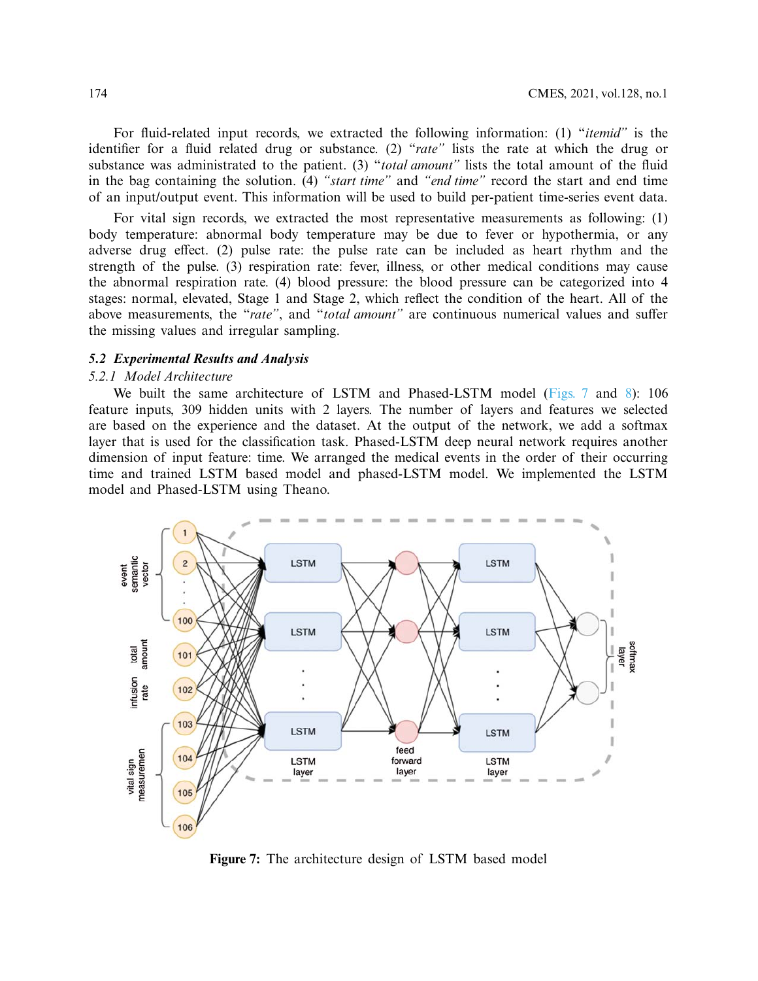For fluid-related input records, we extracted the following information: (1) "*itemid"* is the identifier for a fluid related drug or substance. (2) "*rate"* lists the rate at which the drug or substance was administrated to the patient. (3) "*total amount"* lists the total amount of the fluid in the bag containing the solution. (4) *"start time"* and *"end time"* record the start and end time of an input/output event. This information will be used to build per-patient time-series event data.

For vital sign records, we extracted the most representative measurements as following: (1) body temperature: abnormal body temperature may be due to fever or hypothermia, or any adverse drug effect. (2) pulse rate: the pulse rate can be included as heart rhythm and the strength of the pulse. (3) respiration rate: fever, illness, or other medical conditions may cause the abnormal respiration rate. (4) blood pressure: the blood pressure can be categorized into 4 stages: normal, elevated, Stage 1 and Stage 2, which reflect the condition of the heart. All of the above measurements, the "*rate"*, and "*total amount"* are continuous numerical values and suffer the missing values and irregular sampling.

#### *5.2 Experimental Results and Analysis*

#### *5.2.1 Model Architecture*

We built the same architecture of LSTM and Phased-LSTM model [\(Figs. 7](#page-13-0) and [8\)](#page-14-0): 106 feature inputs, 309 hidden units with 2 layers. The number of layers and features we selected are based on the experience and the dataset. At the output of the network, we add a softmax layer that is used for the classification task. Phased-LSTM deep neural network requires another dimension of input feature: time. We arranged the medical events in the order of their occurring time and trained LSTM based model and phased-LSTM model. We implemented the LSTM model and Phased-LSTM using Theano.



<span id="page-13-0"></span>**Figure 7:** The architecture design of LSTM based model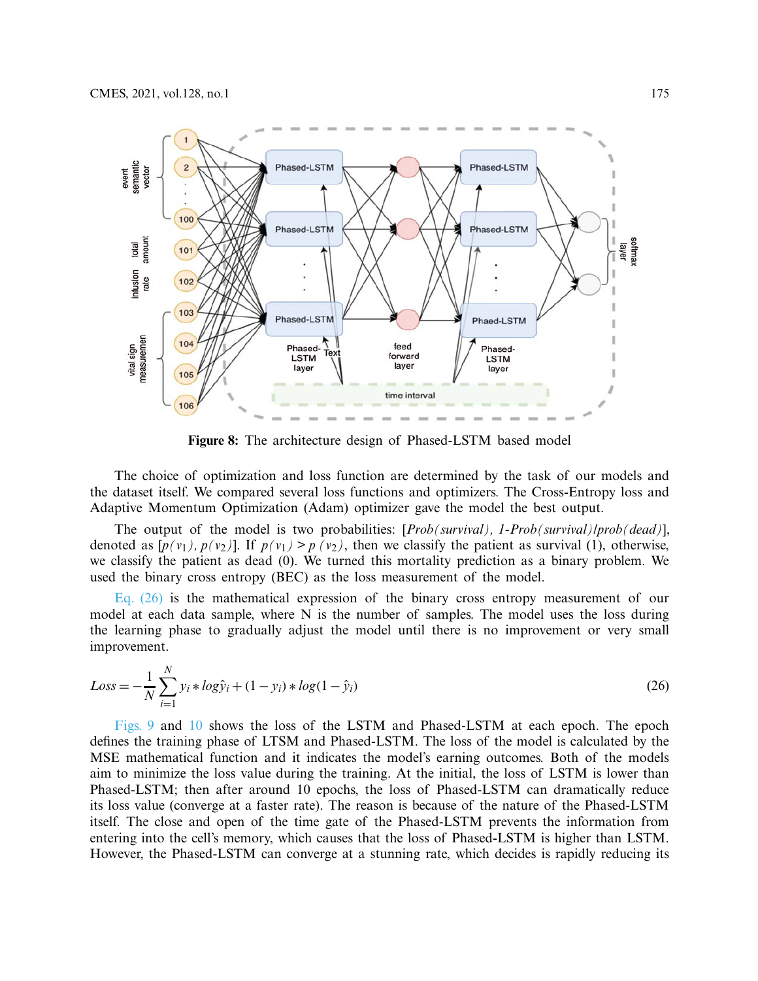

<span id="page-14-0"></span>**Figure 8:** The architecture design of Phased-LSTM based model

The choice of optimization and loss function are determined by the task of our models and the dataset itself. We compared several loss functions and optimizers. The Cross-Entropy loss and Adaptive Momentum Optimization (Adam) optimizer gave the model the best output.

The output of the model is two probabilities: [*Prob(survival), 1-Prob(survival)/prob(dead)*], denoted as  $[p(v_1), p(v_2)]$ . If  $p(v_1) > p(v_2)$ , then we classify the patient as survival (1), otherwise, we classify the patient as dead (0). We turned this mortality prediction as a binary problem. We used the binary cross entropy (BEC) as the loss measurement of the model.

[Eq. \(26\)](#page-14-1) is the mathematical expression of the binary cross entropy measurement of our model at each data sample, where N is the number of samples. The model uses the loss during the learning phase to gradually adjust the model until there is no improvement or very small improvement.

<span id="page-14-1"></span>
$$
Loss = -\frac{1}{N} \sum_{i=1}^{N} y_i * log\hat{y}_i + (1 - y_i) * log(1 - \hat{y}_i)
$$
\n(26)

[Figs. 9](#page-15-0) and [10](#page-15-1) shows the loss of the LSTM and Phased-LSTM at each epoch. The epoch defines the training phase of LTSM and Phased-LSTM. The loss of the model is calculated by the MSE mathematical function and it indicates the model's earning outcomes. Both of the models aim to minimize the loss value during the training. At the initial, the loss of LSTM is lower than Phased-LSTM; then after around 10 epochs, the loss of Phased-LSTM can dramatically reduce its loss value (converge at a faster rate). The reason is because of the nature of the Phased-LSTM itself. The close and open of the time gate of the Phased-LSTM prevents the information from entering into the cell's memory, which causes that the loss of Phased-LSTM is higher than LSTM. However, the Phased-LSTM can converge at a stunning rate, which decides is rapidly reducing its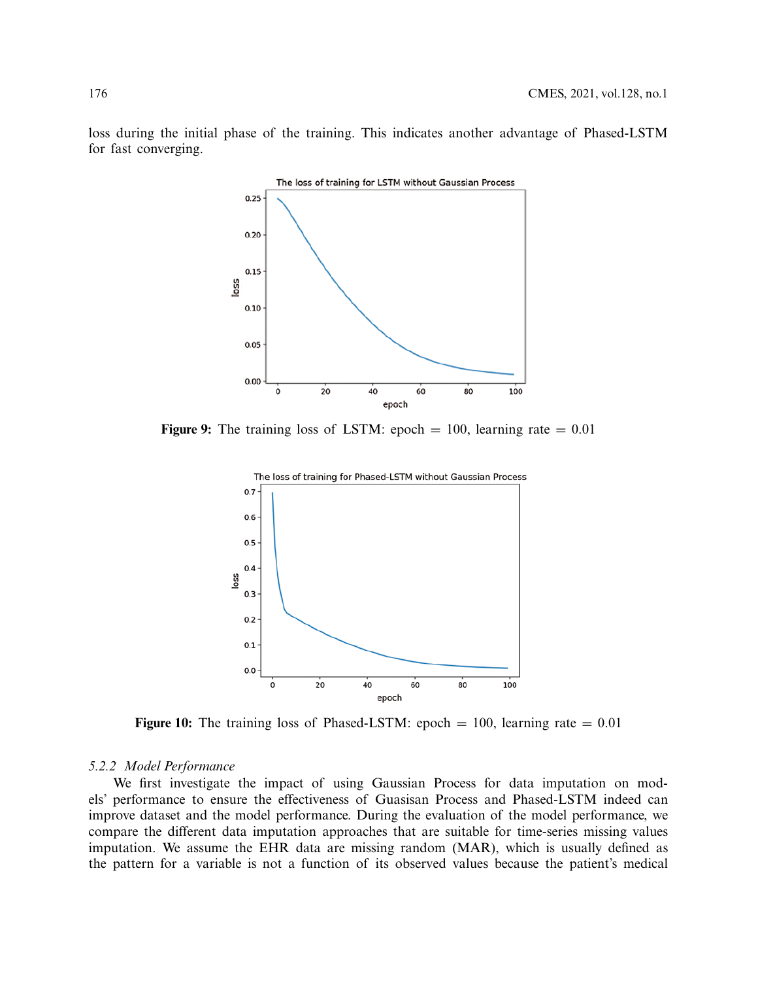

loss during the initial phase of the training. This indicates another advantage of Phased-LSTM for fast converging.

**Figure 9:** The training loss of LSTM: epoch  $= 100$ , learning rate  $= 0.01$ 

<span id="page-15-1"></span><span id="page-15-0"></span>

**Figure 10:** The training loss of Phased-LSTM: epoch  $= 100$ , learning rate  $= 0.01$ 

#### *5.2.2 Model Performance*

We first investigate the impact of using Gaussian Process for data imputation on models' performance to ensure the effectiveness of Guasisan Process and Phased-LSTM indeed can improve dataset and the model performance. During the evaluation of the model performance, we compare the different data imputation approaches that are suitable for time-series missing values imputation. We assume the EHR data are missing random (MAR), which is usually defined as the pattern for a variable is not a function of its observed values because the patient's medical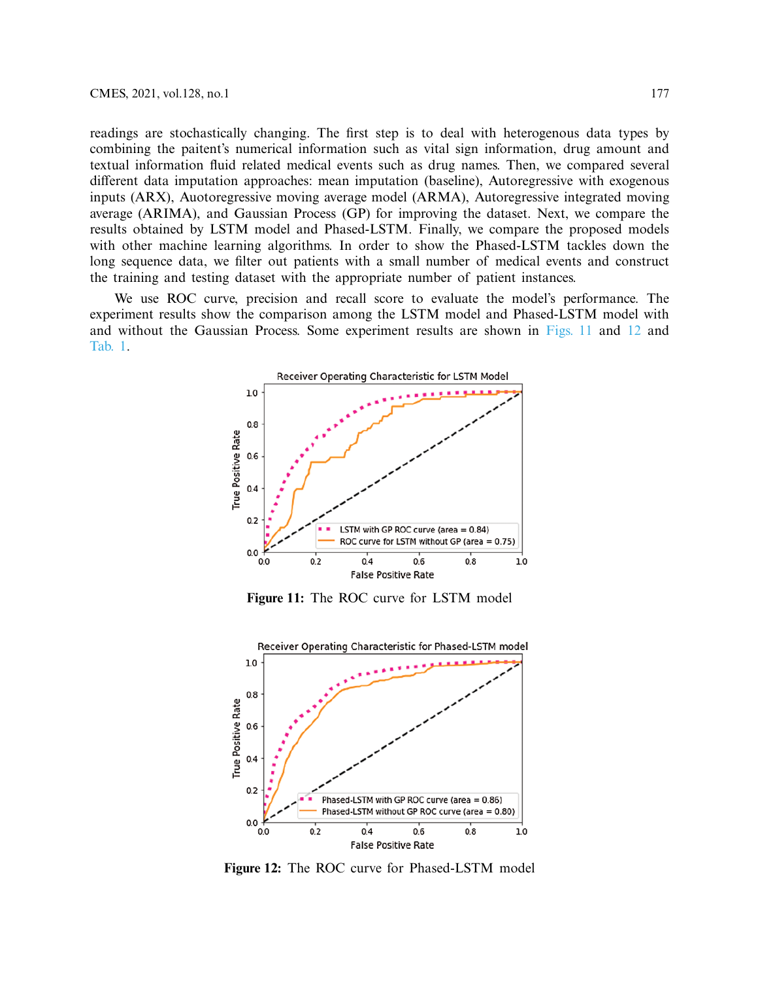readings are stochastically changing. The first step is to deal with heterogenous data types by combining the paitent's numerical information such as vital sign information, drug amount and textual information fluid related medical events such as drug names. Then, we compared several different data imputation approaches: mean imputation (baseline), Autoregressive with exogenous inputs (ARX), Auotoregressive moving average model (ARMA), Autoregressive integrated moving average (ARIMA), and Gaussian Process (GP) for improving the dataset. Next, we compare the results obtained by LSTM model and Phased-LSTM. Finally, we compare the proposed models with other machine learning algorithms. In order to show the Phased-LSTM tackles down the long sequence data, we filter out patients with a small number of medical events and construct the training and testing dataset with the appropriate number of patient instances.

We use ROC curve, precision and recall score to evaluate the model's performance. The experiment results show the comparison among the LSTM model and Phased-LSTM model with and without the Gaussian Process. Some experiment results are shown in [Figs. 11](#page-16-0) and [12](#page-16-1) and [Tab. 1.](#page-17-0)



<span id="page-16-0"></span>**Figure 11:** The ROC curve for LSTM model



<span id="page-16-1"></span>**Figure 12:** The ROC curve for Phased-LSTM model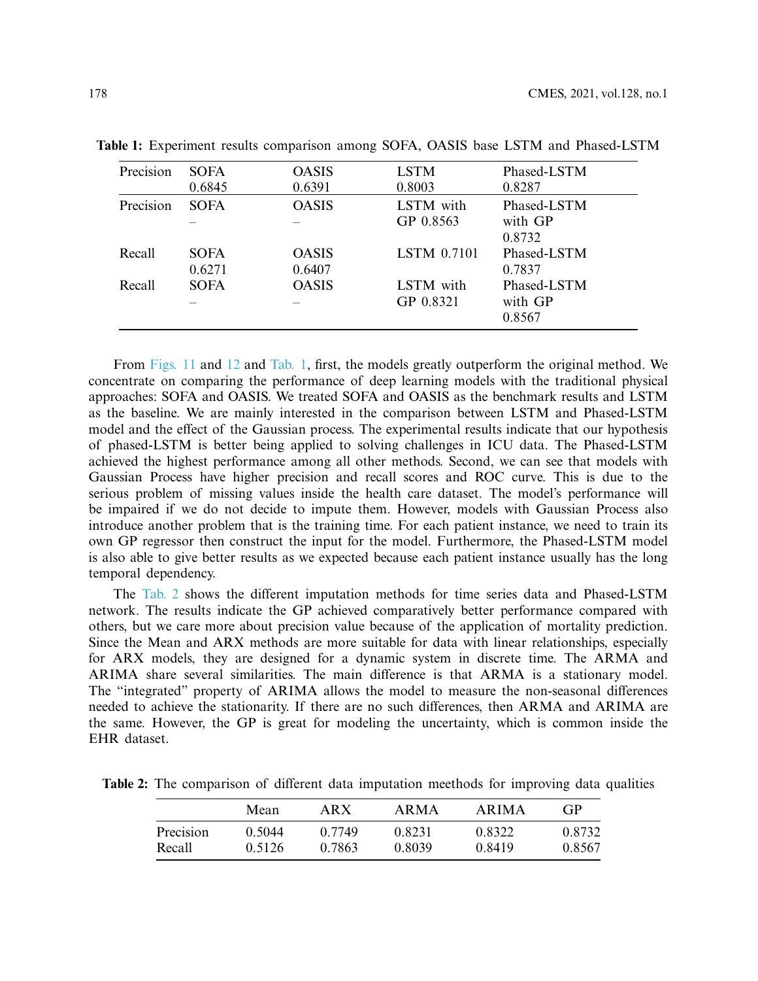| Precision | <b>SOFA</b> | <b>OASIS</b> | <b>LSTM</b>        | Phased-LSTM |
|-----------|-------------|--------------|--------------------|-------------|
|           | 0.6845      | 0.6391       | 0.8003             | 0.8287      |
| Precision | <b>SOFA</b> | <b>OASIS</b> | LSTM with          | Phased-LSTM |
|           |             |              | GP 0.8563          | with GP     |
|           |             |              |                    | 0.8732      |
| Recall    | <b>SOFA</b> | <b>OASIS</b> | <b>LSTM 0.7101</b> | Phased-LSTM |
|           | 0.6271      | 0.6407       |                    | 0.7837      |
| Recall    | <b>SOFA</b> | <b>OASIS</b> | LSTM with          | Phased-LSTM |
|           |             |              | GP 0.8321          | with GP     |
|           |             |              |                    | 0.8567      |

<span id="page-17-0"></span>**Table 1:** Experiment results comparison among SOFA, OASIS base LSTM and Phased-LSTM

From [Figs. 11](#page-16-0) and [12](#page-16-1) and [Tab. 1,](#page-17-0) first, the models greatly outperform the original method. We concentrate on comparing the performance of deep learning models with the traditional physical approaches: SOFA and OASIS. We treated SOFA and OASIS as the benchmark results and LSTM as the baseline. We are mainly interested in the comparison between LSTM and Phased-LSTM model and the effect of the Gaussian process. The experimental results indicate that our hypothesis of phased-LSTM is better being applied to solving challenges in ICU data. The Phased-LSTM achieved the highest performance among all other methods. Second, we can see that models with Gaussian Process have higher precision and recall scores and ROC curve. This is due to the serious problem of missing values inside the health care dataset. The model's performance will be impaired if we do not decide to impute them. However, models with Gaussian Process also introduce another problem that is the training time. For each patient instance, we need to train its own GP regressor then construct the input for the model. Furthermore, the Phased-LSTM model is also able to give better results as we expected because each patient instance usually has the long temporal dependency.

The [Tab. 2](#page-17-1) shows the different imputation methods for time series data and Phased-LSTM network. The results indicate the GP achieved comparatively better performance compared with others, but we care more about precision value because of the application of mortality prediction. Since the Mean and ARX methods are more suitable for data with linear relationships, especially for ARX models, they are designed for a dynamic system in discrete time. The ARMA and ARIMA share several similarities. The main difference is that ARMA is a stationary model. The "integrated" property of ARIMA allows the model to measure the non-seasonal differences needed to achieve the stationarity. If there are no such differences, then ARMA and ARIMA are the same. However, the GP is great for modeling the uncertainty, which is common inside the EHR dataset.

<span id="page-17-1"></span>**Table 2:** The comparison of different data imputation meethods for improving data qualities

|           | Mean   | ARX    | ARMA   | ARIMA  | GP     |
|-----------|--------|--------|--------|--------|--------|
| Precision | 0.5044 | 0.7749 | 0.8231 | 0.8322 | 0.8732 |
| Recall    | 0.5126 | 0.7863 | 0.8039 | 0.8419 | 0.8567 |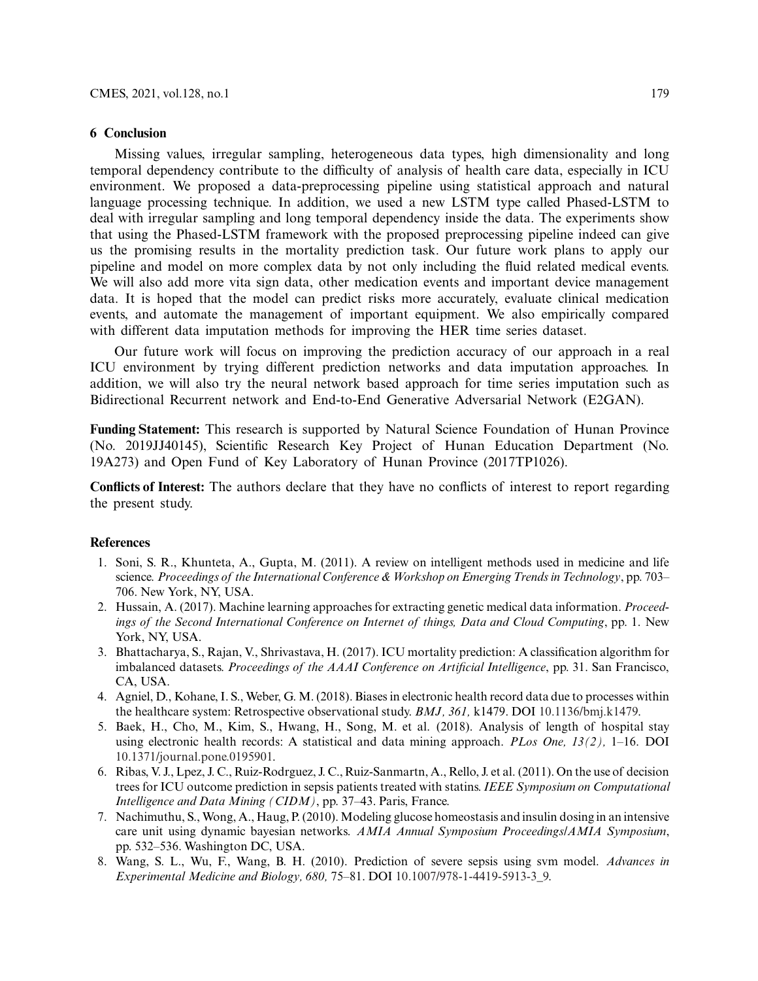#### **6 Conclusion**

Missing values, irregular sampling, heterogeneous data types, high dimensionality and long temporal dependency contribute to the difficulty of analysis of health care data, especially in ICU environment. We proposed a data-preprocessing pipeline using statistical approach and natural language processing technique. In addition, we used a new LSTM type called Phased-LSTM to deal with irregular sampling and long temporal dependency inside the data. The experiments show that using the Phased-LSTM framework with the proposed preprocessing pipeline indeed can give us the promising results in the mortality prediction task. Our future work plans to apply our pipeline and model on more complex data by not only including the fluid related medical events. We will also add more vita sign data, other medication events and important device management data. It is hoped that the model can predict risks more accurately, evaluate clinical medication events, and automate the management of important equipment. We also empirically compared with different data imputation methods for improving the HER time series dataset.

Our future work will focus on improving the prediction accuracy of our approach in a real ICU environment by trying different prediction networks and data imputation approaches. In addition, we will also try the neural network based approach for time series imputation such as Bidirectional Recurrent network and End-to-End Generative Adversarial Network (E2GAN).

**Funding Statement:** This research is supported by Natural Science Foundation of Hunan Province (No. 2019JJ40145), Scientific Research Key Project of Hunan Education Department (No. 19A273) and Open Fund of Key Laboratory of Hunan Province (2017TP1026).

**Conflicts of Interest:** The authors declare that they have no conflicts of interest to report regarding the present study.

#### **References**

- <span id="page-18-0"></span>1. Soni, S. R., Khunteta, A., Gupta, M. (2011). A review on intelligent methods used in medicine and life science. *Proceedings of the International Conference & Workshop on Emerging Trends in Technology*, pp. 703– 706. New York, NY, USA.
- <span id="page-18-1"></span>2. Hussain, A. (2017). Machine learning approaches for extracting genetic medical data information. *Proceedings of the Second International Conference on Internet of things, Data and Cloud Computing*, pp. 1. New York, NY, USA.
- <span id="page-18-2"></span>3. Bhattacharya, S., Rajan, V., Shrivastava, H. (2017). ICU mortality prediction: A classification algorithm for imbalanced datasets. *Proceedings of the AAAI Conference on Artificial Intelligence*, pp. 31. San Francisco, CA, USA.
- 4. Agniel, D., Kohane, I. S., Weber, G. M. (2018). Biases in electronic health record data due to processes within the healthcare system: Retrospective observational study. *BMJ, 361,* k1479. DOI [10.1136/bmj.k1479.](http://dx.doi.org/10.1136/bmj.k1479)
- <span id="page-18-3"></span>5. Baek, H., Cho, M., Kim, S., Hwang, H., Song, M. et al. (2018). Analysis of length of hospital stay using electronic health records: A statistical and data mining approach. *PLos One, 13(2),* 1–16. DOI [10.1371/journal.pone.0195901.](http://dx.doi.org/10.1371/journal.pone.0195901)
- <span id="page-18-4"></span>6. Ribas, V. J., Lpez, J. C., Ruiz-Rodrguez, J. C., Ruiz-Sanmartn, A., Rello, J. et al. (2011). On the use of decision trees for ICU outcome prediction in sepsis patients treated with statins. *IEEE Symposium on Computational Intelligence and Data Mining (CIDM)*, pp. 37–43. Paris, France.
- 7. Nachimuthu, S., Wong, A., Haug, P. (2010). Modeling glucose homeostasis and insulin dosing in an intensive care unit using dynamic bayesian networks. *AMIA Annual Symposium Proceedings/AMIA Symposium*, pp. 532–536. Washington DC, USA.
- <span id="page-18-5"></span>8. Wang, S. L., Wu, F., Wang, B. H. (2010). Prediction of severe sepsis using svm model. *Advances in Experimental Medicine and Biology, 680,* 75–81. DOI [10.1007/978-1-4419-5913-3\\_9.](http://dx.doi.org/10.1007/978-1-4419-5913-3_9)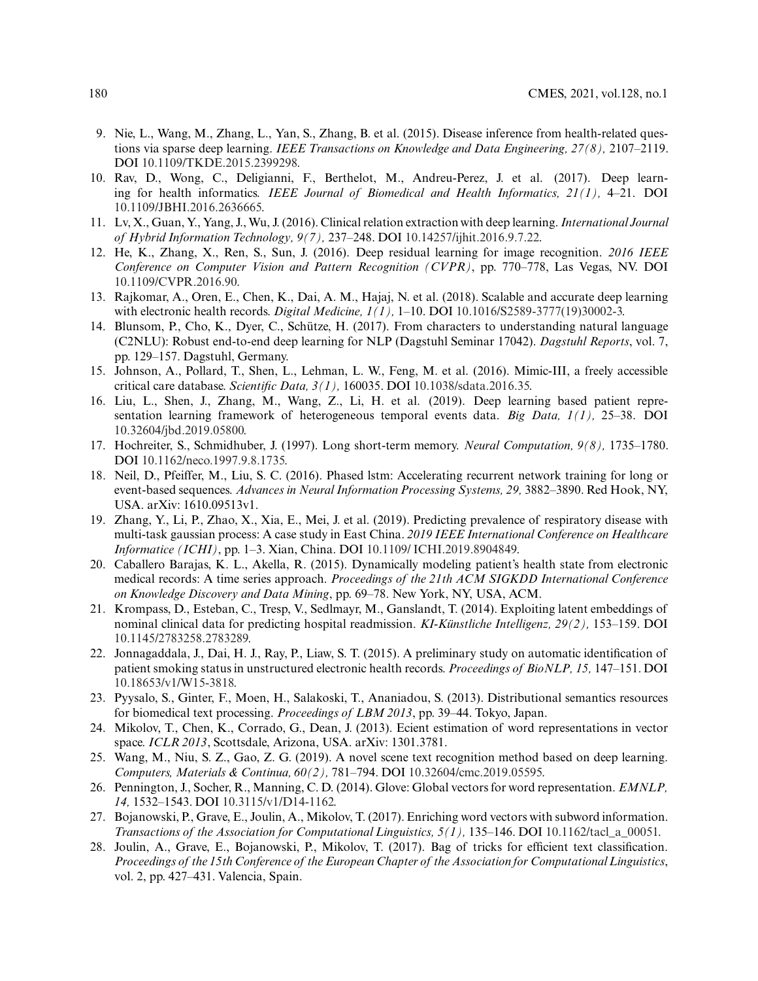- <span id="page-19-0"></span>9. Nie, L., Wang, M., Zhang, L., Yan, S., Zhang, B. et al. (2015). Disease inference from health-related questions via sparse deep learning. *IEEE Transactions on Knowledge and Data Engineering, 27(8),* 2107–2119. DOI [10.1109/TKDE.2015.2399298.](http://dx.doi.org/10.1109/TKDE.2015.2399298)
- 10. Rav, D., Wong, C., Deligianni, F., Berthelot, M., Andreu-Perez, J. et al. (2017). Deep learning for health informatics. *IEEE Journal of Biomedical and Health Informatics, 21(1),* 4–21. DOI [10.1109/JBHI.2016.2636665.](http://dx.doi.org/10.1109/JBHI.2016.2636665)
- <span id="page-19-1"></span>11. Lv, X., Guan, Y., Yang, J., Wu, J. (2016). Clinical relation extraction with deep learning. *International Journal of Hybrid Information Technology, 9(7),* 237–248. DOI [10.14257/ijhit.2016.9.7.22.](http://dx.doi.org/10.14257/ijhit.2016.9.7.22)
- <span id="page-19-2"></span>12. He, K., Zhang, X., Ren, S., Sun, J. (2016). Deep residual learning for image recognition. *2016 IEEE Conference on Computer Vision and Pattern Recognition (CVPR)*, pp. 770–778, Las Vegas, NV. DOI [10.1109/CVPR.2016.90.](http://dx.doi.org/10.1109/CVPR.2016.90)
- <span id="page-19-3"></span>13. Rajkomar, A., Oren, E., Chen, K., Dai, A. M., Hajaj, N. et al. (2018). Scalable and accurate deep learning with electronic health records. *Digital Medicine, 1(1),* 1–10. DOI [10.1016/S2589-3777\(19\)30002-3.](http://dx.doi.org/10.1016/S2589-3777(19)30002-3)
- <span id="page-19-4"></span>14. Blunsom, P., Cho, K., Dyer, C., Schütze, H. (2017). From characters to understanding natural language (C2NLU): Robust end-to-end deep learning for NLP (Dagstuhl Seminar 17042). *Dagstuhl Reports*, vol. 7, pp. 129–157. Dagstuhl, Germany.
- <span id="page-19-5"></span>15. Johnson, A., Pollard, T., Shen, L., Lehman, L. W., Feng, M. et al. (2016). Mimic-III, a freely accessible critical care database. *Scientific Data, 3(1),* 160035. DOI [10.1038/sdata.2016.35.](http://dx.doi.org/10.1038/sdata.2016.35)
- <span id="page-19-6"></span>16. Liu, L., Shen, J., Zhang, M., Wang, Z., Li, H. et al. (2019). Deep learning based patient representation learning framework of heterogeneous temporal events data. *Big Data, 1(1),* 25–38. DOI [10.32604/jbd.2019.05800.](http://dx.doi.org/10.32604/jbd.2019.05800)
- <span id="page-19-7"></span>17. Hochreiter, S., Schmidhuber, J. (1997). Long short-term memory. *Neural Computation, 9(8),* 1735–1780. DOI [10.1162/neco.1997.9.8.1735.](http://dx.doi.org/10.1162/neco.1997.9.8.1735)
- <span id="page-19-8"></span>18. Neil, D., Pfeiffer, M., Liu, S. C. (2016). Phased lstm: Accelerating recurrent network training for long or event-based sequences. *Advances in Neural Information Processing Systems, 29,* 3882–3890. Red Hook, NY, USA. arXiv: 1610.09513v1.
- <span id="page-19-9"></span>19. Zhang, Y., Li, P., Zhao, X., Xia, E., Mei, J. et al. (2019). Predicting prevalence of respiratory disease with multi-task gaussian process: A case study in East China. *2019 IEEE International Conference on Healthcare Informatice (ICHI)*, pp. 1–3. Xian, China. DOI [10.1109/ ICHI.2019.8904849.](http://dx.doi.org/10.1109/ ICHI.2019.8904849)
- <span id="page-19-10"></span>20. Caballero Barajas, K. L., Akella, R. (2015). Dynamically modeling patient's health state from electronic medical records: A time series approach. *Proceedings of the 21th ACM SIGKDD International Conference on Knowledge Discovery and Data Mining*, pp. 69–78. New York, NY, USA, ACM.
- <span id="page-19-11"></span>21. Krompass, D., Esteban, C., Tresp, V., Sedlmayr, M., Ganslandt, T. (2014). Exploiting latent embeddings of nominal clinical data for predicting hospital readmission. *KI-Künstliche Intelligenz, 29(2),* 153–159. DOI [10.1145/2783258.2783289.](http://dx.doi.org/10.1145/2783258.2783289)
- <span id="page-19-12"></span>22. Jonnagaddala, J., Dai, H. J., Ray, P., Liaw, S. T. (2015). A preliminary study on automatic identification of patient smoking status in unstructured electronic health records. *Proceedings of BioNLP, 15,* 147–151. DOI [10.18653/v1/W15-3818.](http://dx.doi.org/10.18653/v1/W15-3818)
- <span id="page-19-13"></span>23. Pyysalo, S., Ginter, F., Moen, H., Salakoski, T., Ananiadou, S. (2013). Distributional semantics resources for biomedical text processing. *Proceedings of LBM 2013*, pp. 39–44. Tokyo, Japan.
- <span id="page-19-14"></span>24. Mikolov, T., Chen, K., Corrado, G., Dean, J. (2013). Ecient estimation of word representations in vector space. *ICLR 2013*, Scottsdale, Arizona, USA. arXiv: 1301.3781.
- <span id="page-19-15"></span>25. Wang, M., Niu, S. Z., Gao, Z. G. (2019). A novel scene text recognition method based on deep learning. *Computers, Materials & Continua, 60(2),* 781–794. DOI [10.32604/cmc.2019.05595.](http://dx.doi.org/10.32604/cmc.2019.05595)
- <span id="page-19-16"></span>26. Pennington, J., Socher, R., Manning, C. D. (2014). Glove: Global vectors for word representation. *EMNLP, 14,* 1532–1543. DOI [10.3115/v1/D14-1162.](http://dx.doi.org/10.3115/v1/D14-1162)
- <span id="page-19-17"></span>27. Bojanowski, P., Grave, E., Joulin, A., Mikolov, T. (2017). Enriching word vectors with subword information. *Transactions of the Association for Computational Linguistics, 5(1),* 135–146. DOI [10.1162/tacl\\_a\\_00051.](http://dx.doi.org/10.1162/tacl_a_00051)
- <span id="page-19-18"></span>28. Joulin, A., Grave, E., Bojanowski, P., Mikolov, T. (2017). Bag of tricks for efficient text classification. *Proceedings of the 15th Conference of the European Chapter of the Association for Computational Linguistics*, vol. 2, pp. 427–431. Valencia, Spain.